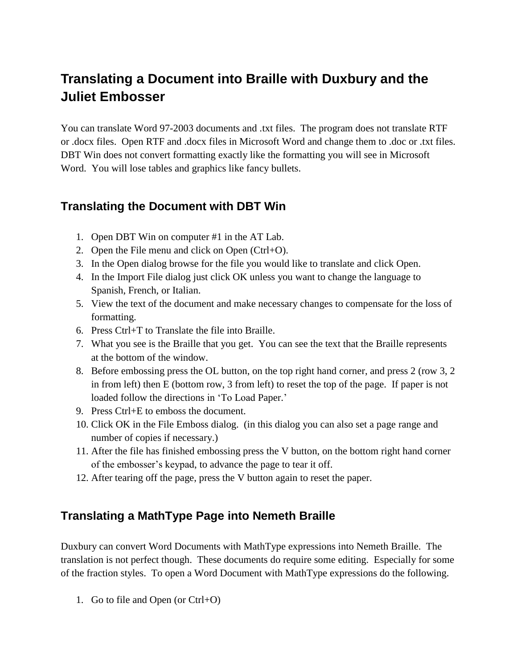# **Translating a Document into Braille with Duxbury and the Juliet Embosser**

You can translate Word 97-2003 documents and .txt files. The program does not translate RTF or .docx files. Open RTF and .docx files in Microsoft Word and change them to .doc or .txt files. DBT Win does not convert formatting exactly like the formatting you will see in Microsoft Word. You will lose tables and graphics like fancy bullets.

### **Translating the Document with DBT Win**

- 1. Open DBT Win on computer #1 in the AT Lab.
- 2. Open the File menu and click on Open  $(Ctrl+O)$ .
- 3. In the Open dialog browse for the file you would like to translate and click Open.
- 4. In the Import File dialog just click OK unless you want to change the language to Spanish, French, or Italian.
- 5. View the text of the document and make necessary changes to compensate for the loss of formatting.
- 6. Press Ctrl+T to Translate the file into Braille.
- 7. What you see is the Braille that you get. You can see the text that the Braille represents at the bottom of the window.
- 8. Before embossing press the OL button, on the top right hand corner, and press 2 (row 3, 2 in from left) then E (bottom row, 3 from left) to reset the top of the page. If paper is not loaded follow the directions in 'To Load Paper.'
- 9. Press Ctrl+E to emboss the document.
- 10. Click OK in the File Emboss dialog. (in this dialog you can also set a page range and number of copies if necessary.)
- 11. After the file has finished embossing press the V button, on the bottom right hand corner of the embosser"s keypad, to advance the page to tear it off.
- 12. After tearing off the page, press the V button again to reset the paper.

### **Translating a MathType Page into Nemeth Braille**

Duxbury can convert Word Documents with MathType expressions into Nemeth Braille. The translation is not perfect though. These documents do require some editing. Especially for some of the fraction styles. To open a Word Document with MathType expressions do the following.

1. Go to file and Open (or Ctrl+O)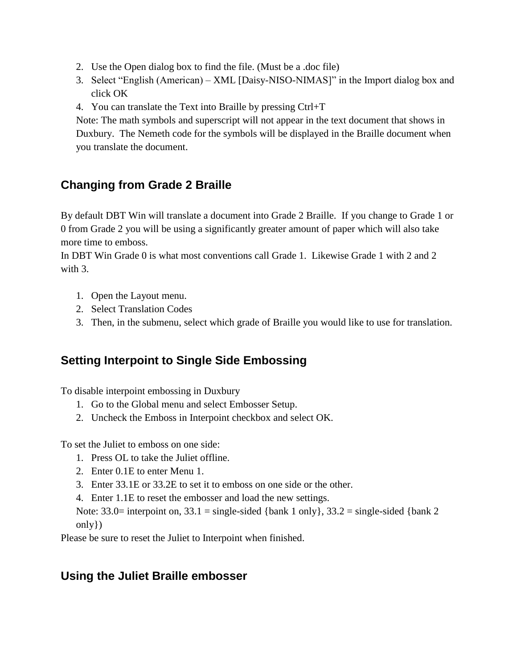- 2. Use the Open dialog box to find the file. (Must be a .doc file)
- 3. Select "English (American) XML [Daisy-NISO-NIMAS]" in the Import dialog box and click OK
- 4. You can translate the Text into Braille by pressing Ctrl+T

Note: The math symbols and superscript will not appear in the text document that shows in Duxbury. The Nemeth code for the symbols will be displayed in the Braille document when you translate the document.

## **Changing from Grade 2 Braille**

By default DBT Win will translate a document into Grade 2 Braille. If you change to Grade 1 or 0 from Grade 2 you will be using a significantly greater amount of paper which will also take more time to emboss.

In DBT Win Grade 0 is what most conventions call Grade 1. Likewise Grade 1 with 2 and 2 with 3.

- 1. Open the Layout menu.
- 2. Select Translation Codes
- 3. Then, in the submenu, select which grade of Braille you would like to use for translation.

### **Setting Interpoint to Single Side Embossing**

To disable interpoint embossing in Duxbury

- 1. Go to the Global menu and select Embosser Setup.
- 2. Uncheck the Emboss in Interpoint checkbox and select OK.

To set the Juliet to emboss on one side:

- 1. Press OL to take the Juliet offline.
- 2. Enter 0.1E to enter Menu 1.
- 3. Enter 33.1E or 33.2E to set it to emboss on one side or the other.
- 4. Enter 1.1E to reset the embosser and load the new settings.

Note:  $33.0=$  interpoint on,  $33.1 =$  single-sided {bank 1 only},  $33.2 =$  single-sided {bank 2 only})

Please be sure to reset the Juliet to Interpoint when finished.

### **Using the Juliet Braille embosser**